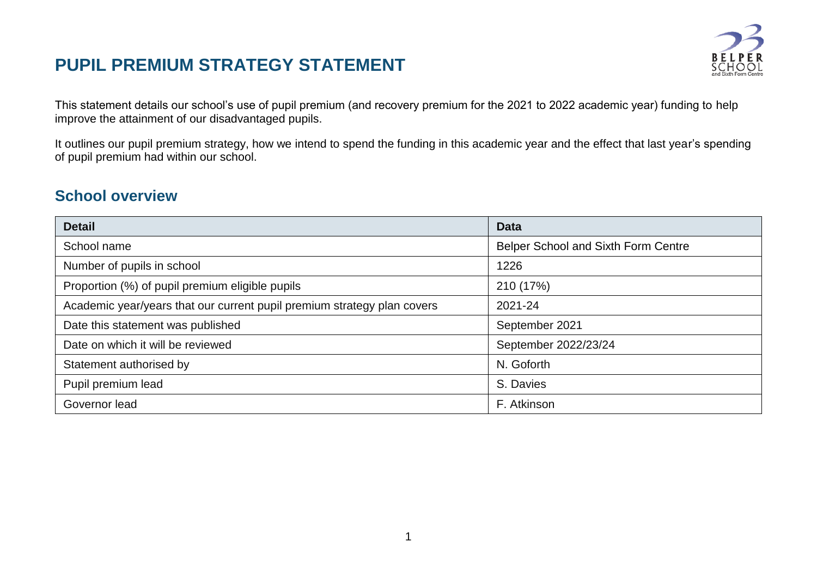# **PUPIL PREMIUM STRATEGY STATEMENT**



This statement details our school's use of pupil premium (and recovery premium for the 2021 to 2022 academic year) funding to help improve the attainment of our disadvantaged pupils.

It outlines our pupil premium strategy, how we intend to spend the funding in this academic year and the effect that last year's spending of pupil premium had within our school.

#### **School overview**

| <b>Detail</b>                                                           | <b>Data</b>                         |
|-------------------------------------------------------------------------|-------------------------------------|
| School name                                                             | Belper School and Sixth Form Centre |
| Number of pupils in school                                              | 1226                                |
| Proportion (%) of pupil premium eligible pupils                         | 210 (17%)                           |
| Academic year/years that our current pupil premium strategy plan covers | 2021-24                             |
| Date this statement was published                                       | September 2021                      |
| Date on which it will be reviewed                                       | September 2022/23/24                |
| Statement authorised by                                                 | N. Goforth                          |
| Pupil premium lead                                                      | S. Davies                           |
| Governor lead                                                           | F. Atkinson                         |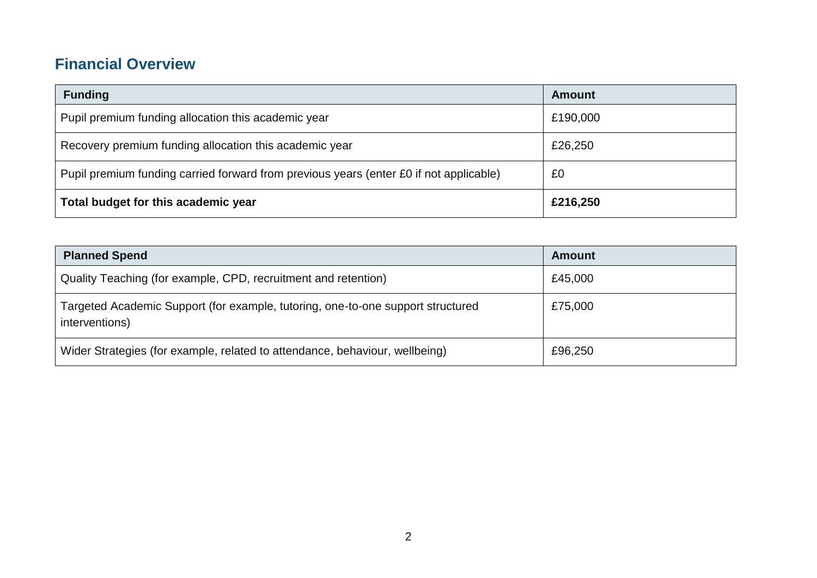### **Financial Overview**

| <b>Funding</b>                                                                         | <b>Amount</b> |
|----------------------------------------------------------------------------------------|---------------|
| Pupil premium funding allocation this academic year                                    | £190,000      |
| Recovery premium funding allocation this academic year                                 | £26,250       |
| Pupil premium funding carried forward from previous years (enter £0 if not applicable) | £0            |
| Total budget for this academic year                                                    | £216,250      |

| <b>Planned Spend</b>                                                                              | <b>Amount</b> |
|---------------------------------------------------------------------------------------------------|---------------|
| Quality Teaching (for example, CPD, recruitment and retention)                                    | £45,000       |
| Targeted Academic Support (for example, tutoring, one-to-one support structured<br>interventions) | £75,000       |
| Wider Strategies (for example, related to attendance, behaviour, wellbeing)                       | £96,250       |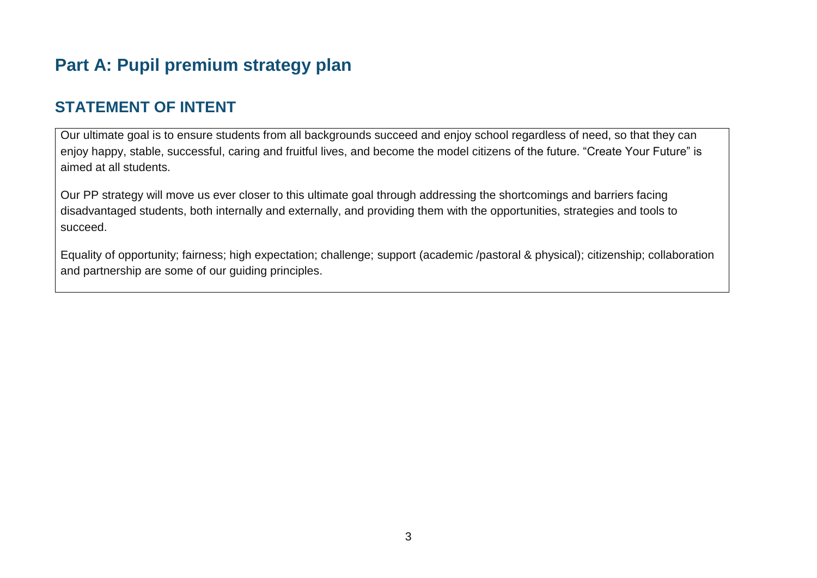# **Part A: Pupil premium strategy plan**

### **STATEMENT OF INTENT**

Our ultimate goal is to ensure students from all backgrounds succeed and enjoy school regardless of need, so that they can enjoy happy, stable, successful, caring and fruitful lives, and become the model citizens of the future. "Create Your Future" is aimed at all students.

Our PP strategy will move us ever closer to this ultimate goal through addressing the shortcomings and barriers facing disadvantaged students, both internally and externally, and providing them with the opportunities, strategies and tools to succeed.

Equality of opportunity; fairness; high expectation; challenge; support (academic /pastoral & physical); citizenship; collaboration and partnership are some of our guiding principles.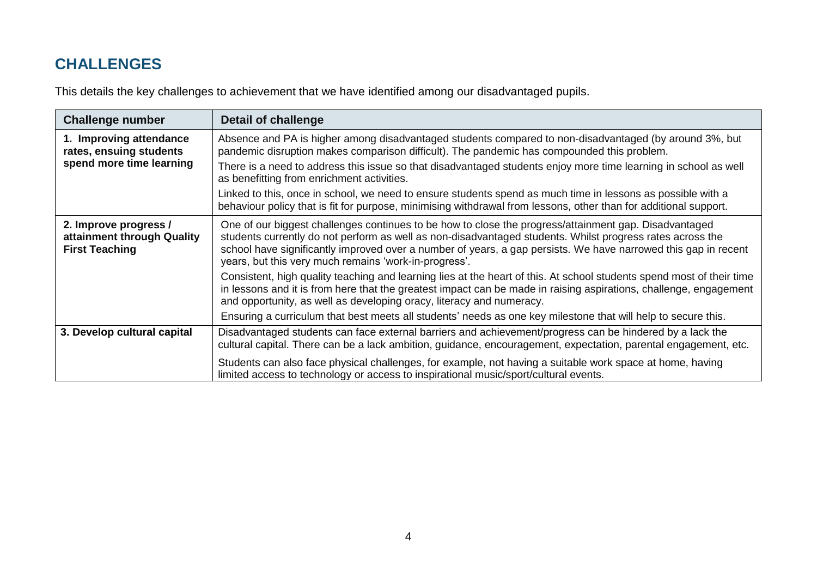### **CHALLENGES**

This details the key challenges to achievement that we have identified among our disadvantaged pupils.

| <b>Challenge number</b>                                                        | <b>Detail of challenge</b>                                                                                                                                                                                                                                                                                                                                                                    |
|--------------------------------------------------------------------------------|-----------------------------------------------------------------------------------------------------------------------------------------------------------------------------------------------------------------------------------------------------------------------------------------------------------------------------------------------------------------------------------------------|
| 1. Improving attendance<br>rates, ensuing students<br>spend more time learning | Absence and PA is higher among disadvantaged students compared to non-disadvantaged (by around 3%, but<br>pandemic disruption makes comparison difficult). The pandemic has compounded this problem.                                                                                                                                                                                          |
|                                                                                | There is a need to address this issue so that disadvantaged students enjoy more time learning in school as well<br>as benefitting from enrichment activities.                                                                                                                                                                                                                                 |
|                                                                                | Linked to this, once in school, we need to ensure students spend as much time in lessons as possible with a<br>behaviour policy that is fit for purpose, minimising withdrawal from lessons, other than for additional support.                                                                                                                                                               |
| 2. Improve progress /<br>attainment through Quality<br><b>First Teaching</b>   | One of our biggest challenges continues to be how to close the progress/attainment gap. Disadvantaged<br>students currently do not perform as well as non-disadvantaged students. Whilst progress rates across the<br>school have significantly improved over a number of years, a gap persists. We have narrowed this gap in recent<br>years, but this very much remains 'work-in-progress'. |
|                                                                                | Consistent, high quality teaching and learning lies at the heart of this. At school students spend most of their time<br>in lessons and it is from here that the greatest impact can be made in raising aspirations, challenge, engagement<br>and opportunity, as well as developing oracy, literacy and numeracy.                                                                            |
|                                                                                | Ensuring a curriculum that best meets all students' needs as one key milestone that will help to secure this.                                                                                                                                                                                                                                                                                 |
| 3. Develop cultural capital                                                    | Disadvantaged students can face external barriers and achievement/progress can be hindered by a lack the<br>cultural capital. There can be a lack ambition, guidance, encouragement, expectation, parental engagement, etc.                                                                                                                                                                   |
|                                                                                | Students can also face physical challenges, for example, not having a suitable work space at home, having<br>limited access to technology or access to inspirational music/sport/cultural events.                                                                                                                                                                                             |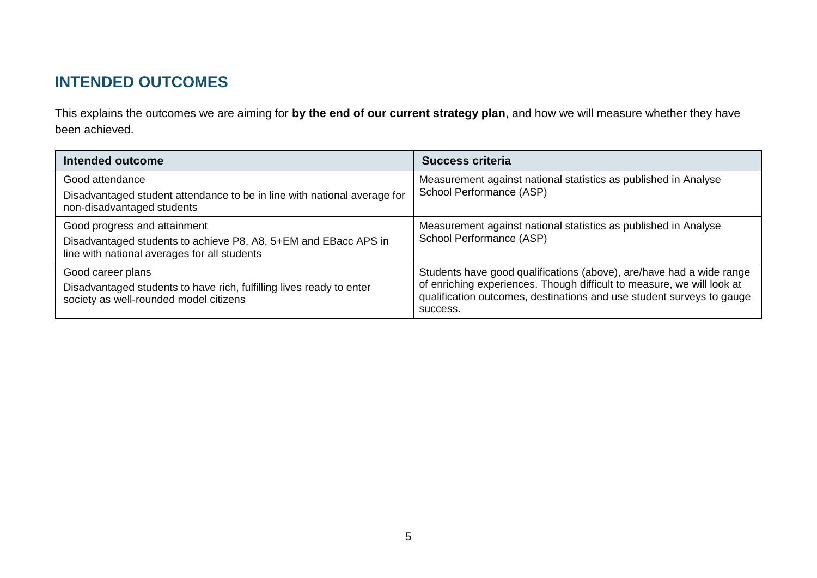### **INTENDED OUTCOMES**

This explains the outcomes we are aiming for **by the end of our current strategy plan**, and how we will measure whether they have been achieved.

| Intended outcome                                                                                                                                | <b>Success criteria</b>                                                                                                                                                                                                             |
|-------------------------------------------------------------------------------------------------------------------------------------------------|-------------------------------------------------------------------------------------------------------------------------------------------------------------------------------------------------------------------------------------|
| Good attendance<br>Disadvantaged student attendance to be in line with national average for<br>non-disadvantaged students                       | Measurement against national statistics as published in Analyse<br>School Performance (ASP)                                                                                                                                         |
| Good progress and attainment<br>Disadvantaged students to achieve P8, A8, 5+EM and EBacc APS in<br>line with national averages for all students | Measurement against national statistics as published in Analyse<br>School Performance (ASP)                                                                                                                                         |
| Good career plans<br>Disadvantaged students to have rich, fulfilling lives ready to enter<br>society as well-rounded model citizens             | Students have good qualifications (above), are/have had a wide range<br>of enriching experiences. Though difficult to measure, we will look at<br>qualification outcomes, destinations and use student surveys to gauge<br>success. |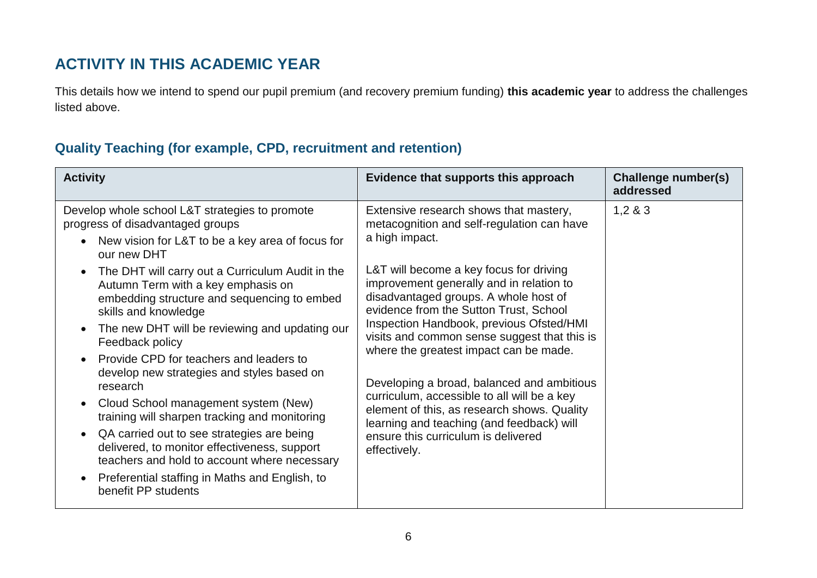#### **ACTIVITY IN THIS ACADEMIC YEAR**

This details how we intend to spend our pupil premium (and recovery premium funding) **this academic year** to address the challenges listed above.

#### **Quality Teaching (for example, CPD, recruitment and retention)**

| <b>Activity</b>                                                                                                                                                                                                                                                                                                                                                                                                                                                                                                                                                                                                                                                                                                                                                                                                                                                                                             | Evidence that supports this approach                                                                                                                                                                                                                                                                                                                                                                                                                                                                                                                                                                                                                                   | Challenge number(s)<br>addressed |
|-------------------------------------------------------------------------------------------------------------------------------------------------------------------------------------------------------------------------------------------------------------------------------------------------------------------------------------------------------------------------------------------------------------------------------------------------------------------------------------------------------------------------------------------------------------------------------------------------------------------------------------------------------------------------------------------------------------------------------------------------------------------------------------------------------------------------------------------------------------------------------------------------------------|------------------------------------------------------------------------------------------------------------------------------------------------------------------------------------------------------------------------------------------------------------------------------------------------------------------------------------------------------------------------------------------------------------------------------------------------------------------------------------------------------------------------------------------------------------------------------------------------------------------------------------------------------------------------|----------------------------------|
| Develop whole school L&T strategies to promote<br>progress of disadvantaged groups<br>New vision for L&T to be a key area of focus for<br>$\bullet$<br>our new DHT<br>The DHT will carry out a Curriculum Audit in the<br>$\bullet$<br>Autumn Term with a key emphasis on<br>embedding structure and sequencing to embed<br>skills and knowledge<br>The new DHT will be reviewing and updating our<br>$\bullet$<br>Feedback policy<br>Provide CPD for teachers and leaders to<br>$\bullet$<br>develop new strategies and styles based on<br>research<br>Cloud School management system (New)<br>$\bullet$<br>training will sharpen tracking and monitoring<br>QA carried out to see strategies are being<br>$\bullet$<br>delivered, to monitor effectiveness, support<br>teachers and hold to account where necessary<br>Preferential staffing in Maths and English, to<br>$\bullet$<br>benefit PP students | Extensive research shows that mastery,<br>metacognition and self-regulation can have<br>a high impact.<br>L&T will become a key focus for driving<br>improvement generally and in relation to<br>disadvantaged groups. A whole host of<br>evidence from the Sutton Trust, School<br>Inspection Handbook, previous Ofsted/HMI<br>visits and common sense suggest that this is<br>where the greatest impact can be made.<br>Developing a broad, balanced and ambitious<br>curriculum, accessible to all will be a key<br>element of this, as research shows. Quality<br>learning and teaching (and feedback) will<br>ensure this curriculum is delivered<br>effectively. | 1,283                            |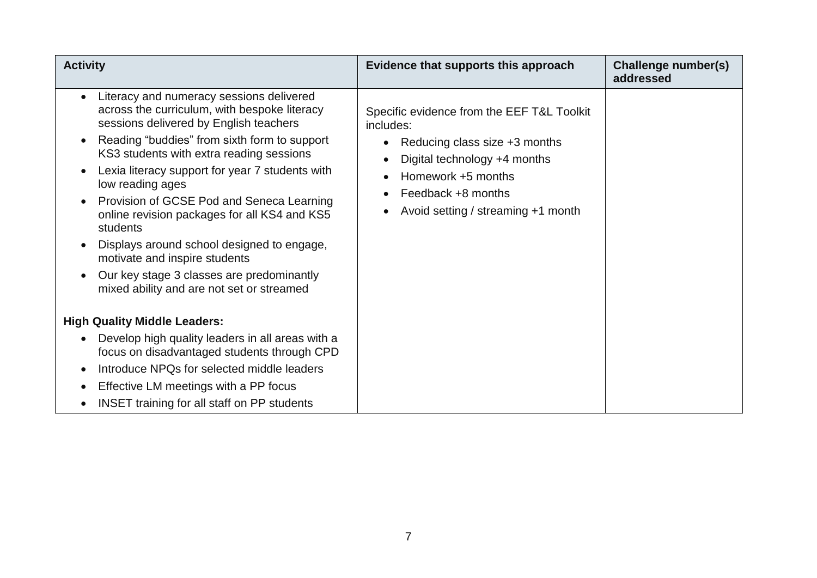| <b>Activity</b>                                                                                                                                                                                                                                                                                                                                                                                                                                                                                                                                                                         | Evidence that supports this approach                                                                                                                                                                       | Challenge number(s)<br>addressed |
|-----------------------------------------------------------------------------------------------------------------------------------------------------------------------------------------------------------------------------------------------------------------------------------------------------------------------------------------------------------------------------------------------------------------------------------------------------------------------------------------------------------------------------------------------------------------------------------------|------------------------------------------------------------------------------------------------------------------------------------------------------------------------------------------------------------|----------------------------------|
| Literacy and numeracy sessions delivered<br>across the curriculum, with bespoke literacy<br>sessions delivered by English teachers<br>Reading "buddies" from sixth form to support<br>KS3 students with extra reading sessions<br>Lexia literacy support for year 7 students with<br>low reading ages<br>Provision of GCSE Pod and Seneca Learning<br>online revision packages for all KS4 and KS5<br>students<br>Displays around school designed to engage,<br>motivate and inspire students<br>Our key stage 3 classes are predominantly<br>mixed ability and are not set or streamed | Specific evidence from the EEF T&L Toolkit<br>includes:<br>Reducing class size +3 months<br>Digital technology +4 months<br>Homework +5 months<br>Feedback +8 months<br>Avoid setting / streaming +1 month |                                  |
| <b>High Quality Middle Leaders:</b>                                                                                                                                                                                                                                                                                                                                                                                                                                                                                                                                                     |                                                                                                                                                                                                            |                                  |
| Develop high quality leaders in all areas with a<br>focus on disadvantaged students through CPD                                                                                                                                                                                                                                                                                                                                                                                                                                                                                         |                                                                                                                                                                                                            |                                  |
| Introduce NPQs for selected middle leaders                                                                                                                                                                                                                                                                                                                                                                                                                                                                                                                                              |                                                                                                                                                                                                            |                                  |
| Effective LM meetings with a PP focus<br>$\bullet$                                                                                                                                                                                                                                                                                                                                                                                                                                                                                                                                      |                                                                                                                                                                                                            |                                  |
| <b>INSET</b> training for all staff on PP students<br>$\bullet$                                                                                                                                                                                                                                                                                                                                                                                                                                                                                                                         |                                                                                                                                                                                                            |                                  |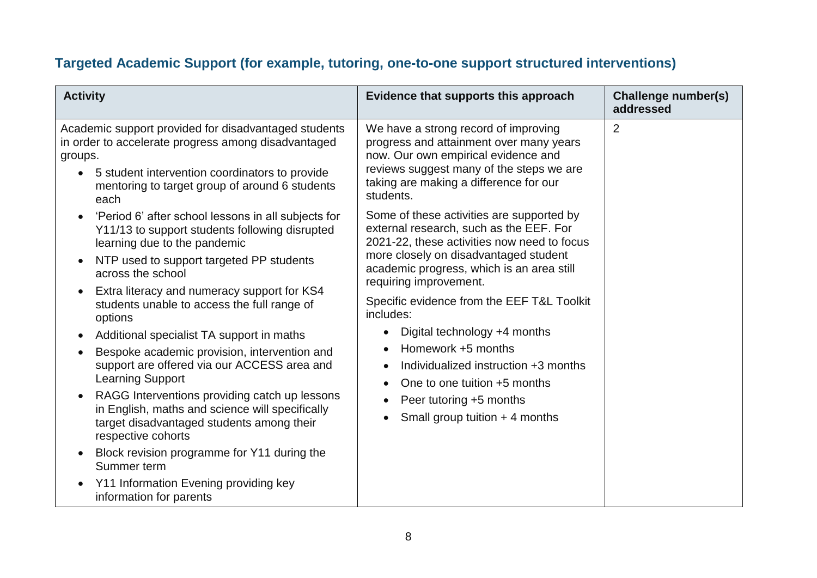#### **Targeted Academic Support (for example, tutoring, one-to-one support structured interventions)**

| <b>Activity</b>                                                                                                                                                                                                                                                                                                                                                                                                                                                                                                                                                                                                                                                                                                                                                                                              | Evidence that supports this approach                                                                                                                                                                                                                                                                                                                                                                                                                                                                        | Challenge number(s)<br>addressed |
|--------------------------------------------------------------------------------------------------------------------------------------------------------------------------------------------------------------------------------------------------------------------------------------------------------------------------------------------------------------------------------------------------------------------------------------------------------------------------------------------------------------------------------------------------------------------------------------------------------------------------------------------------------------------------------------------------------------------------------------------------------------------------------------------------------------|-------------------------------------------------------------------------------------------------------------------------------------------------------------------------------------------------------------------------------------------------------------------------------------------------------------------------------------------------------------------------------------------------------------------------------------------------------------------------------------------------------------|----------------------------------|
| Academic support provided for disadvantaged students<br>in order to accelerate progress among disadvantaged<br>groups.<br>5 student intervention coordinators to provide<br>$\bullet$<br>mentoring to target group of around 6 students<br>each                                                                                                                                                                                                                                                                                                                                                                                                                                                                                                                                                              | We have a strong record of improving<br>progress and attainment over many years<br>now. Our own empirical evidence and<br>reviews suggest many of the steps we are<br>taking are making a difference for our<br>students.                                                                                                                                                                                                                                                                                   | $\overline{2}$                   |
| 'Period 6' after school lessons in all subjects for<br>$\bullet$<br>Y11/13 to support students following disrupted<br>learning due to the pandemic<br>NTP used to support targeted PP students<br>across the school<br>Extra literacy and numeracy support for KS4<br>students unable to access the full range of<br>options<br>Additional specialist TA support in maths<br>Bespoke academic provision, intervention and<br>support are offered via our ACCESS area and<br><b>Learning Support</b><br>RAGG Interventions providing catch up lessons<br>in English, maths and science will specifically<br>target disadvantaged students among their<br>respective cohorts<br>Block revision programme for Y11 during the<br>Summer term<br>Y11 Information Evening providing key<br>information for parents | Some of these activities are supported by<br>external research, such as the EEF. For<br>2021-22, these activities now need to focus<br>more closely on disadvantaged student<br>academic progress, which is an area still<br>requiring improvement.<br>Specific evidence from the EEF T&L Toolkit<br>includes:<br>Digital technology +4 months<br>Homework +5 months<br>Individualized instruction +3 months<br>One to one tuition +5 months<br>Peer tutoring +5 months<br>Small group tuition $+$ 4 months |                                  |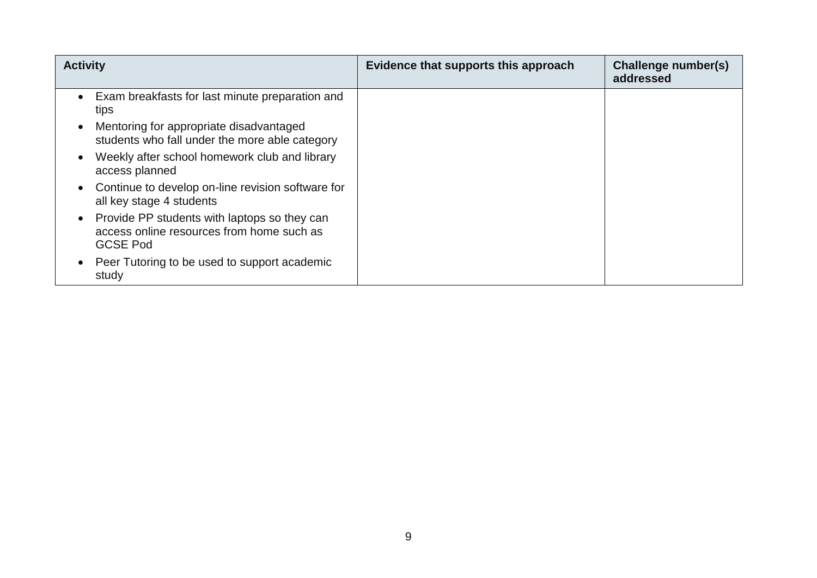| <b>Activity</b>                                                                                                           | Evidence that supports this approach | Challenge number(s)<br>addressed |
|---------------------------------------------------------------------------------------------------------------------------|--------------------------------------|----------------------------------|
| Exam breakfasts for last minute preparation and<br>$\bullet$<br>tips                                                      |                                      |                                  |
| Mentoring for appropriate disadvantaged<br>$\bullet$<br>students who fall under the more able category                    |                                      |                                  |
| Weekly after school homework club and library<br>$\bullet$<br>access planned                                              |                                      |                                  |
| Continue to develop on-line revision software for<br>$\bullet$<br>all key stage 4 students                                |                                      |                                  |
| Provide PP students with laptops so they can<br>$\bullet$<br>access online resources from home such as<br><b>GCSE Pod</b> |                                      |                                  |
| Peer Tutoring to be used to support academic<br>$\bullet$<br>study                                                        |                                      |                                  |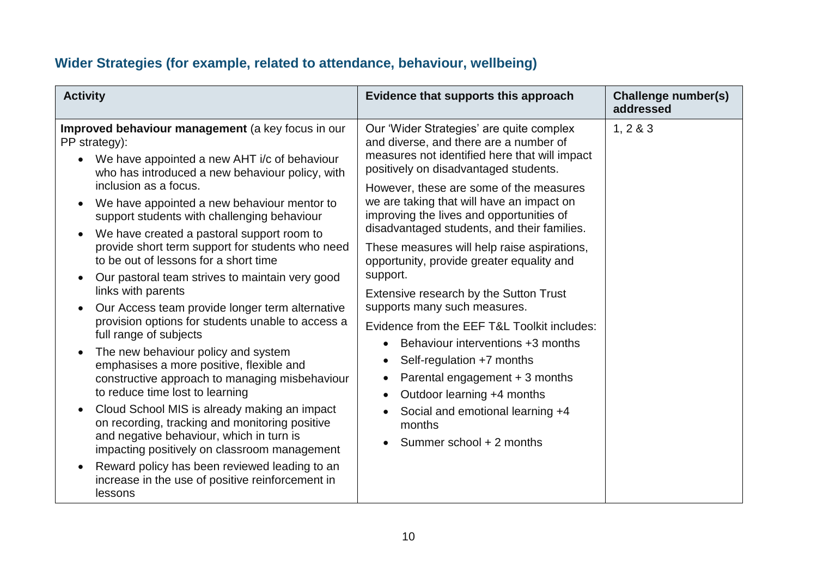#### **Wider Strategies (for example, related to attendance, behaviour, wellbeing)**

| <b>Activity</b>                                                                                                                                                                                                                                                                                                                                                                                                                                                                                                                                                                                                                                                                                                                                                                                                                                                                                                                                                                                                                                                                                                                                       | Evidence that supports this approach                                                                                                                                                                                                                                                                                                                                                                                                                                                                                                                                                                                                                                                                                                                                                                         | Challenge number(s)<br>addressed |
|-------------------------------------------------------------------------------------------------------------------------------------------------------------------------------------------------------------------------------------------------------------------------------------------------------------------------------------------------------------------------------------------------------------------------------------------------------------------------------------------------------------------------------------------------------------------------------------------------------------------------------------------------------------------------------------------------------------------------------------------------------------------------------------------------------------------------------------------------------------------------------------------------------------------------------------------------------------------------------------------------------------------------------------------------------------------------------------------------------------------------------------------------------|--------------------------------------------------------------------------------------------------------------------------------------------------------------------------------------------------------------------------------------------------------------------------------------------------------------------------------------------------------------------------------------------------------------------------------------------------------------------------------------------------------------------------------------------------------------------------------------------------------------------------------------------------------------------------------------------------------------------------------------------------------------------------------------------------------------|----------------------------------|
| Improved behaviour management (a key focus in our<br>PP strategy):<br>We have appointed a new AHT i/c of behaviour<br>who has introduced a new behaviour policy, with<br>inclusion as a focus.<br>We have appointed a new behaviour mentor to<br>support students with challenging behaviour<br>We have created a pastoral support room to<br>$\bullet$<br>provide short term support for students who need<br>to be out of lessons for a short time<br>Our pastoral team strives to maintain very good<br>links with parents<br>Our Access team provide longer term alternative<br>provision options for students unable to access a<br>full range of subjects<br>The new behaviour policy and system<br>emphasises a more positive, flexible and<br>constructive approach to managing misbehaviour<br>to reduce time lost to learning<br>Cloud School MIS is already making an impact<br>on recording, tracking and monitoring positive<br>and negative behaviour, which in turn is<br>impacting positively on classroom management<br>Reward policy has been reviewed leading to an<br>increase in the use of positive reinforcement in<br>lessons | Our 'Wider Strategies' are quite complex<br>and diverse, and there are a number of<br>measures not identified here that will impact<br>positively on disadvantaged students.<br>However, these are some of the measures<br>we are taking that will have an impact on<br>improving the lives and opportunities of<br>disadvantaged students, and their families.<br>These measures will help raise aspirations,<br>opportunity, provide greater equality and<br>support.<br>Extensive research by the Sutton Trust<br>supports many such measures.<br>Evidence from the EEF T&L Toolkit includes:<br>Behaviour interventions +3 months<br>Self-regulation +7 months<br>Parental engagement + 3 months<br>Outdoor learning +4 months<br>Social and emotional learning +4<br>months<br>Summer school + 2 months | 1, 2 & 3                         |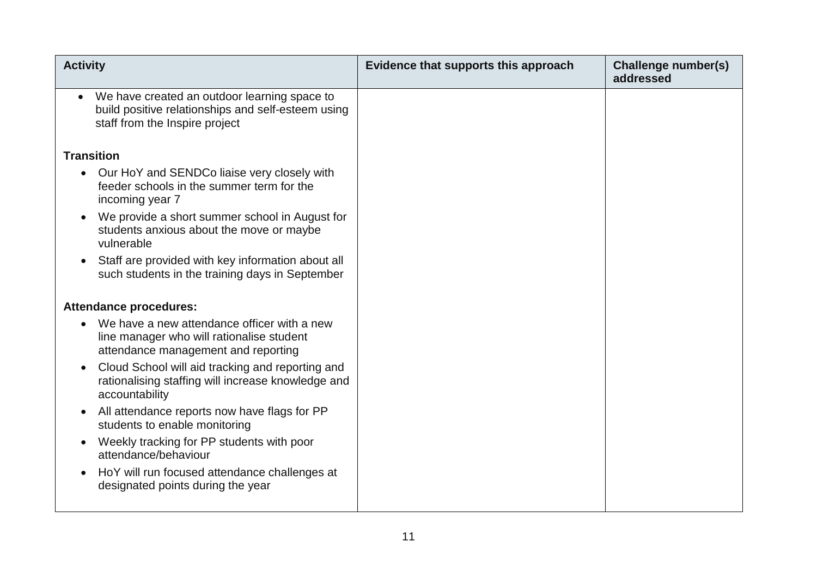| <b>Activity</b>                                                                                                                                   | Evidence that supports this approach | Challenge number(s)<br>addressed |
|---------------------------------------------------------------------------------------------------------------------------------------------------|--------------------------------------|----------------------------------|
| We have created an outdoor learning space to<br>$\bullet$<br>build positive relationships and self-esteem using<br>staff from the Inspire project |                                      |                                  |
| <b>Transition</b>                                                                                                                                 |                                      |                                  |
| Our HoY and SENDCo liaise very closely with<br>feeder schools in the summer term for the<br>incoming year 7                                       |                                      |                                  |
| We provide a short summer school in August for<br>$\bullet$<br>students anxious about the move or maybe<br>vulnerable                             |                                      |                                  |
| Staff are provided with key information about all<br>such students in the training days in September                                              |                                      |                                  |
| <b>Attendance procedures:</b>                                                                                                                     |                                      |                                  |
| We have a new attendance officer with a new<br>line manager who will rationalise student<br>attendance management and reporting                   |                                      |                                  |
| Cloud School will aid tracking and reporting and<br>rationalising staffing will increase knowledge and<br>accountability                          |                                      |                                  |
| All attendance reports now have flags for PP<br>students to enable monitoring                                                                     |                                      |                                  |
| Weekly tracking for PP students with poor<br>attendance/behaviour                                                                                 |                                      |                                  |
| HoY will run focused attendance challenges at<br>designated points during the year                                                                |                                      |                                  |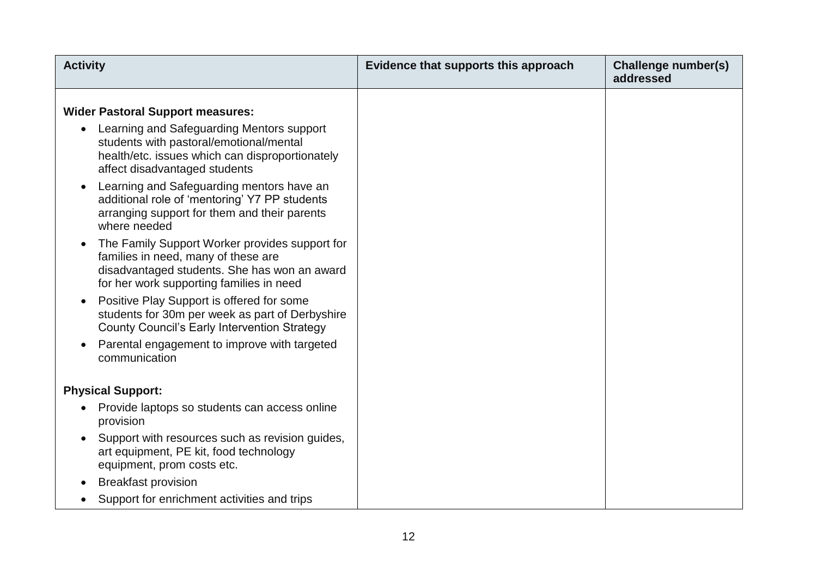| <b>Activity</b>                                                                                                                                                                   | Evidence that supports this approach | Challenge number(s)<br>addressed |
|-----------------------------------------------------------------------------------------------------------------------------------------------------------------------------------|--------------------------------------|----------------------------------|
| <b>Wider Pastoral Support measures:</b>                                                                                                                                           |                                      |                                  |
| Learning and Safeguarding Mentors support<br>students with pastoral/emotional/mental<br>health/etc. issues which can disproportionately<br>affect disadvantaged students          |                                      |                                  |
| Learning and Safeguarding mentors have an<br>additional role of 'mentoring' Y7 PP students<br>arranging support for them and their parents<br>where needed                        |                                      |                                  |
| The Family Support Worker provides support for<br>families in need, many of these are<br>disadvantaged students. She has won an award<br>for her work supporting families in need |                                      |                                  |
| Positive Play Support is offered for some<br>students for 30m per week as part of Derbyshire<br><b>County Council's Early Intervention Strategy</b>                               |                                      |                                  |
| Parental engagement to improve with targeted<br>communication                                                                                                                     |                                      |                                  |
| <b>Physical Support:</b>                                                                                                                                                          |                                      |                                  |
| Provide laptops so students can access online<br>provision                                                                                                                        |                                      |                                  |
| Support with resources such as revision guides,<br>art equipment, PE kit, food technology<br>equipment, prom costs etc.                                                           |                                      |                                  |
| <b>Breakfast provision</b>                                                                                                                                                        |                                      |                                  |
| Support for enrichment activities and trips                                                                                                                                       |                                      |                                  |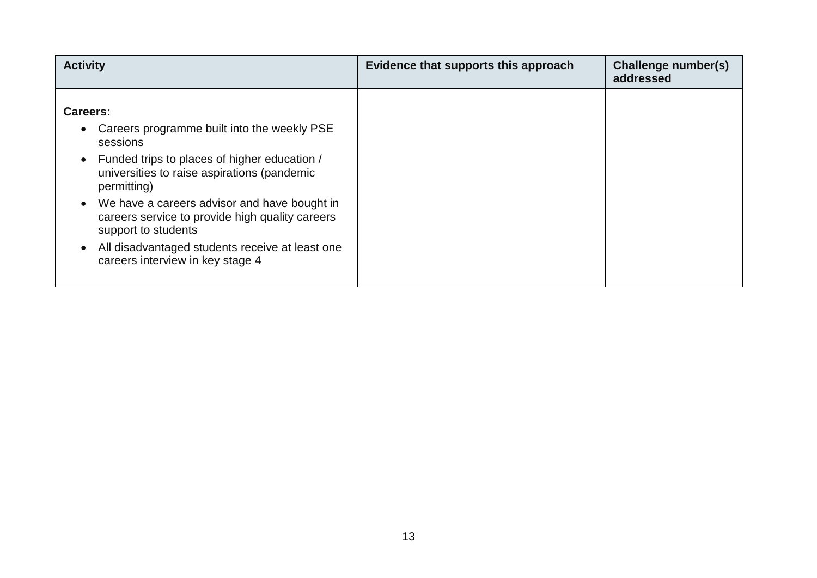| <b>Activity</b>                                                                                                                                                                                                                                                                                                                                                                                    | Evidence that supports this approach | Challenge number(s)<br>addressed |
|----------------------------------------------------------------------------------------------------------------------------------------------------------------------------------------------------------------------------------------------------------------------------------------------------------------------------------------------------------------------------------------------------|--------------------------------------|----------------------------------|
| Careers:<br>Careers programme built into the weekly PSE<br>sessions<br>Funded trips to places of higher education /<br>universities to raise aspirations (pandemic<br>permitting)<br>We have a careers advisor and have bought in<br>careers service to provide high quality careers<br>support to students<br>All disadvantaged students receive at least one<br>careers interview in key stage 4 |                                      |                                  |